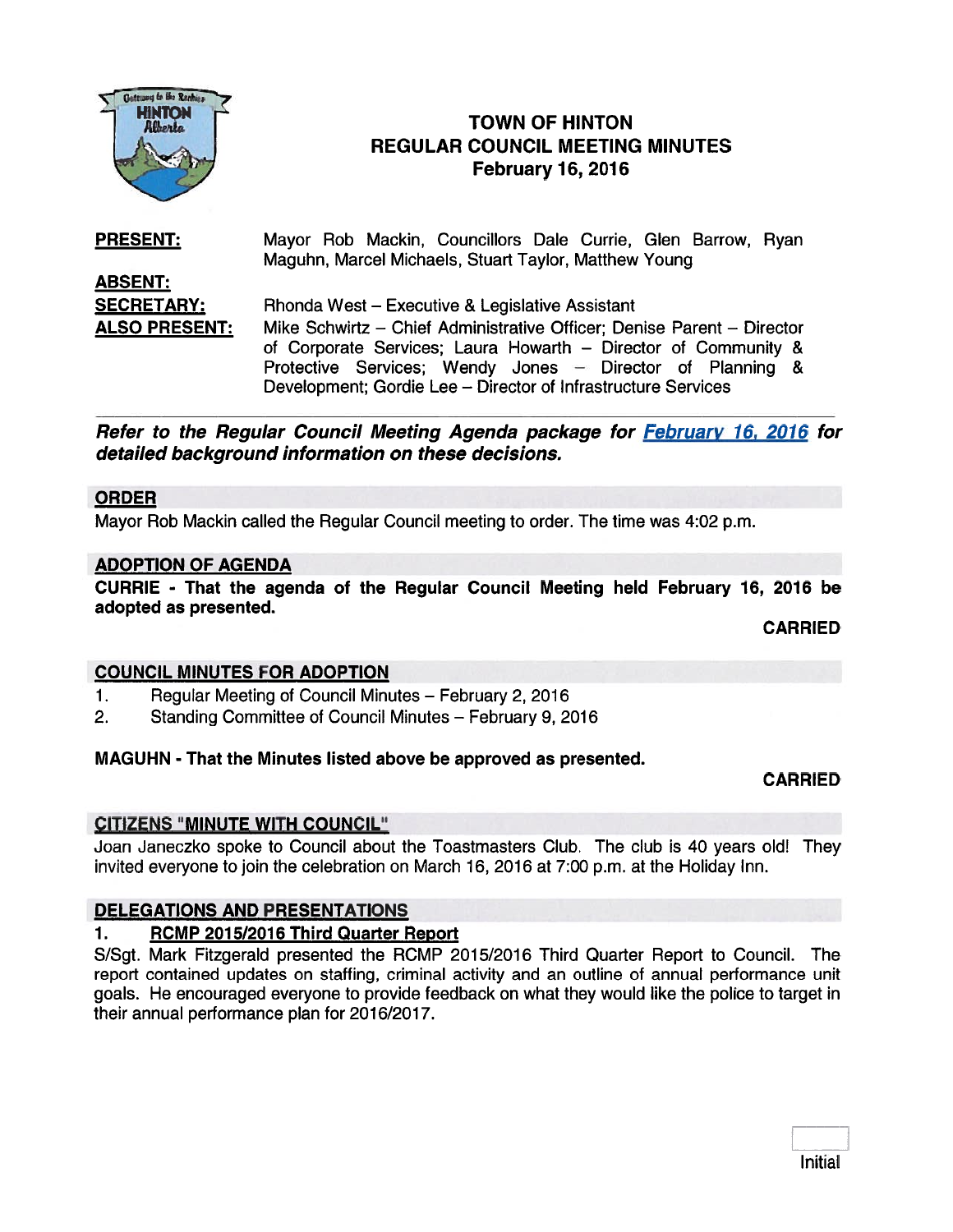

# TOWN OF HINTON REGULAR COUNCIL MEETING MINUTES February 16, 2016<br>
FEGULAR COUNCIL MEETIN<br>
FEGULAR COUNCIL MEETIN<br>
February 16, 2016

#### Mayor Rob Mackin, Councillors Dale Currie, Glen Barrow, Ryan Maguhn, Marcel Michaels, Stuart Taylor, Matthew Young ABSENT: **SECRETARY:** Rhonda West – Executive & Legislative Assistant ALSO PRESENT: Mike Schwirtz — Chief Administrative Officer; Denise Parent — Director PRESENT:

of Corporate Services; Laura Howarth — Director of Community & Protective Services; Wendy Jones — Director of Planning & Development; Gordie Lee — Director of Infrastructure Services

Refer to the Regular Council Meeting Agenda package for February 16, 2016 for detailed background information on these decisions.

#### ORDER

Mayor Rob Mackin called the Regular Council meeting to order. The time was 4:02 p.m.

### ADOPTION OF AGENDA

CURRIE - That the agenda of the Regular Council Meeting held February 16, 2016 be adopted as presented.

CARRIED

# COUNCIL MINUTES FOR ADOPTION

- 1. Regular Meeting of Council Minutes February 2, 2016
- 2. Standing Committee of Council Minutes February 9, 2016

# MAGUHN - That the Minutes listed above be approved as presented.

# CARRIED

# CITIZENS "MINUTE WITH COUNCIL"

Joan Janeczko spoke to Council about the Toastmasters Club. The club is 40 years old! They invited everyone to join the celebration on March 16, 2016 at 7:00 p.m. at the Holiday Inn.

# DELEGATIONS AND PRESENTATIONS

# 1. RCMP 2015/2016 Third Quarter Report

S/Sgt. Mark Fitzgerald presented the RCMP 2015/2016 Third Quarter Report to Council. The repor<sup>t</sup> contained updates on staffing, criminal activity and an outline of annual performance unit goals. He encouraged everyone to provide feedback on what they would like the police to target in their annual performance plan for 2016/2017.

| Initia |
|--------|
|--------|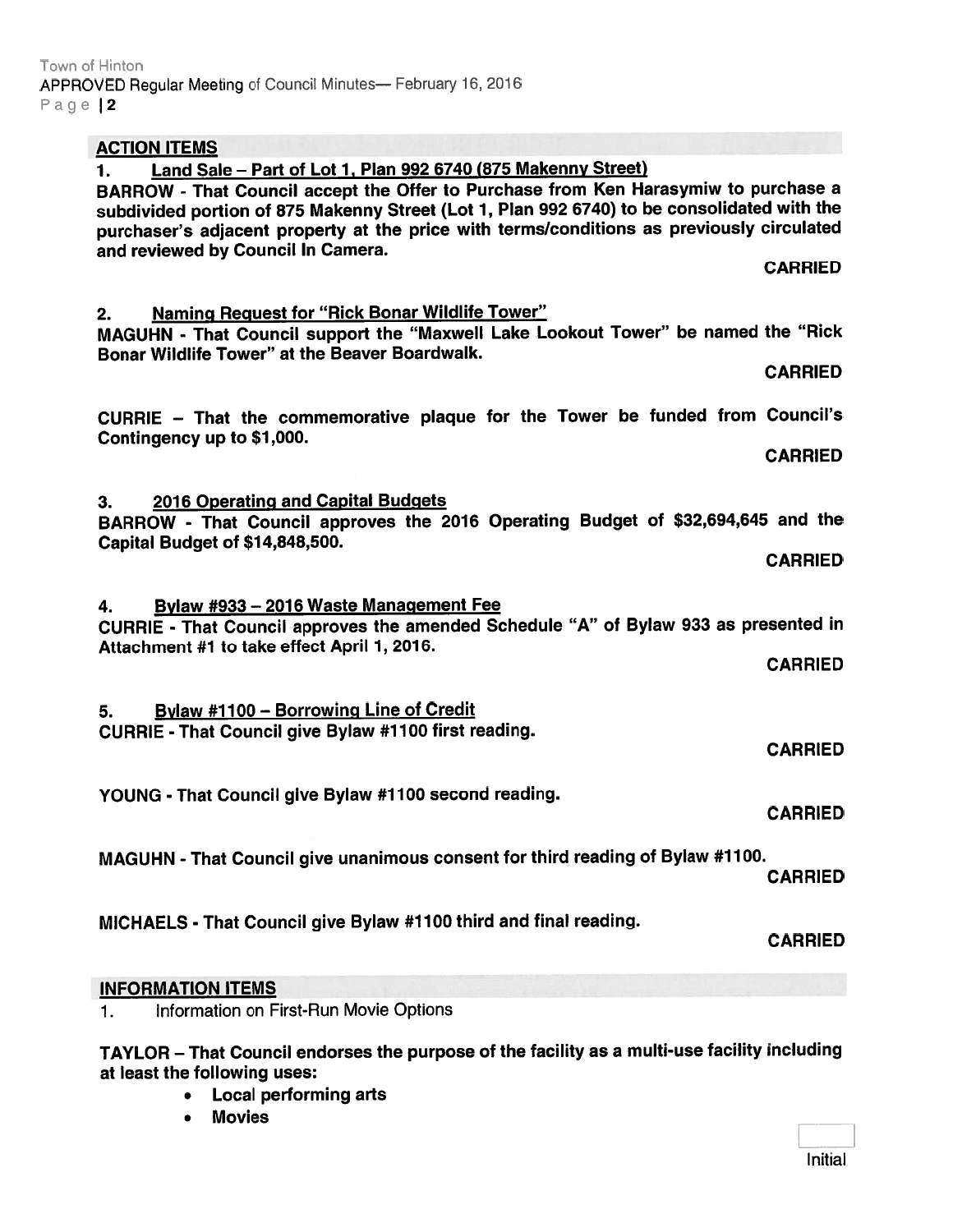| <b>ACTION ITEMS</b>                                                                                                                                                                                                                                                                                                                                                                          |
|----------------------------------------------------------------------------------------------------------------------------------------------------------------------------------------------------------------------------------------------------------------------------------------------------------------------------------------------------------------------------------------------|
| Land Sale - Part of Lot 1, Plan 992 6740 (875 Makenny Street)<br>1.<br>BARROW - That Council accept the Offer to Purchase from Ken Harasymiw to purchase a<br>subdivided portion of 875 Makenny Street (Lot 1, Plan 992 6740) to be consolidated with the<br>purchaser's adjacent property at the price with terms/conditions as previously circulated<br>and reviewed by Council In Camera. |
| <b>CARRIED</b>                                                                                                                                                                                                                                                                                                                                                                               |
| <b>Naming Request for "Rick Bonar Wildlife Tower"</b><br>2.<br>MAGUHN - That Council support the "Maxwell Lake Lookout Tower" be named the "Rick<br>Bonar Wildlife Tower" at the Beaver Boardwalk.<br><b>CARRIED</b>                                                                                                                                                                         |
| CURRIE - That the commemorative plaque for the Tower be funded from Council's<br>Contingency up to \$1,000.<br><b>CARRIED</b>                                                                                                                                                                                                                                                                |
| 2016 Operating and Capital Budgets<br>3.<br>BARROW - That Council approves the 2016 Operating Budget of \$32,694,645 and the<br>Capital Budget of \$14,848,500.<br><b>CARRIED</b>                                                                                                                                                                                                            |
| Bylaw #933 - 2016 Waste Management Fee<br>4.<br>CURRIE - That Council approves the amended Schedule "A" of Bylaw 933 as presented in<br>Attachment #1 to take effect April 1, 2016.<br><b>CARRIED</b>                                                                                                                                                                                        |
| Bylaw #1100 - Borrowing Line of Credit<br>5.<br><b>CURRIE - That Council give Bylaw #1100 first reading.</b><br><b>CARRIED</b>                                                                                                                                                                                                                                                               |
| YOUNG - That Council give Bylaw #1100 second reading.<br><b>CARRIED</b>                                                                                                                                                                                                                                                                                                                      |
| MAGUHN - That Council give unanimous consent for third reading of Bylaw #1100.<br><b>CARRIED</b>                                                                                                                                                                                                                                                                                             |
| MICHAELS - That Council give Bylaw #1100 third and final reading.<br><b>CARRIED</b>                                                                                                                                                                                                                                                                                                          |
| <b>INFORMATION ITEMS</b>                                                                                                                                                                                                                                                                                                                                                                     |
| Information on First-Run Movie Options<br>1.                                                                                                                                                                                                                                                                                                                                                 |

TAYLOR — That Council endorses the purpose of the facility as <sup>a</sup> multi-use facility including at least the following uses:

- Local performing arts
- •Movies